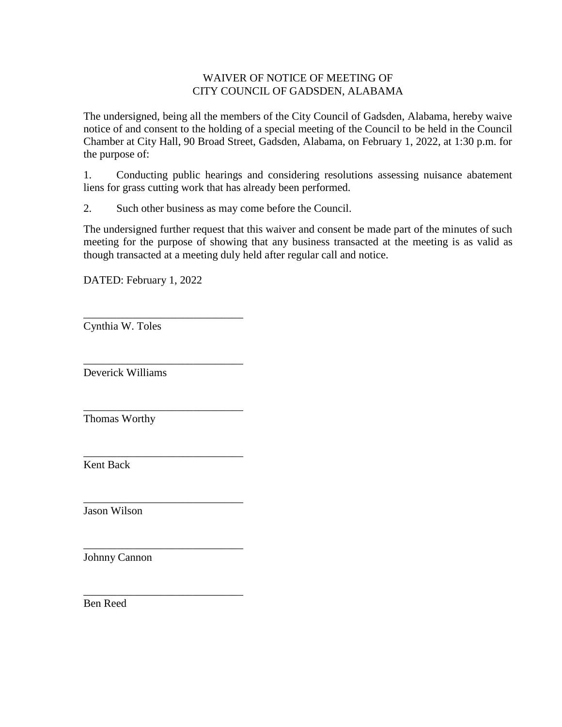# WAIVER OF NOTICE OF MEETING OF CITY COUNCIL OF GADSDEN, ALABAMA

The undersigned, being all the members of the City Council of Gadsden, Alabama, hereby waive notice of and consent to the holding of a special meeting of the Council to be held in the Council Chamber at City Hall, 90 Broad Street, Gadsden, Alabama, on February 1, 2022, at 1:30 p.m. for the purpose of:

1. Conducting public hearings and considering resolutions assessing nuisance abatement liens for grass cutting work that has already been performed.

2. Such other business as may come before the Council.

The undersigned further request that this waiver and consent be made part of the minutes of such meeting for the purpose of showing that any business transacted at the meeting is as valid as though transacted at a meeting duly held after regular call and notice.

DATED: February 1, 2022

\_\_\_\_\_\_\_\_\_\_\_\_\_\_\_\_\_\_\_\_\_\_\_\_\_\_\_\_\_

\_\_\_\_\_\_\_\_\_\_\_\_\_\_\_\_\_\_\_\_\_\_\_\_\_\_\_\_\_

\_\_\_\_\_\_\_\_\_\_\_\_\_\_\_\_\_\_\_\_\_\_\_\_\_\_\_\_\_

\_\_\_\_\_\_\_\_\_\_\_\_\_\_\_\_\_\_\_\_\_\_\_\_\_\_\_\_\_

\_\_\_\_\_\_\_\_\_\_\_\_\_\_\_\_\_\_\_\_\_\_\_\_\_\_\_\_\_

\_\_\_\_\_\_\_\_\_\_\_\_\_\_\_\_\_\_\_\_\_\_\_\_\_\_\_\_\_

\_\_\_\_\_\_\_\_\_\_\_\_\_\_\_\_\_\_\_\_\_\_\_\_\_\_\_\_\_ Cynthia W. Toles

Deverick Williams

Thomas Worthy

Kent Back

Jason Wilson

Johnny Cannon

Ben Reed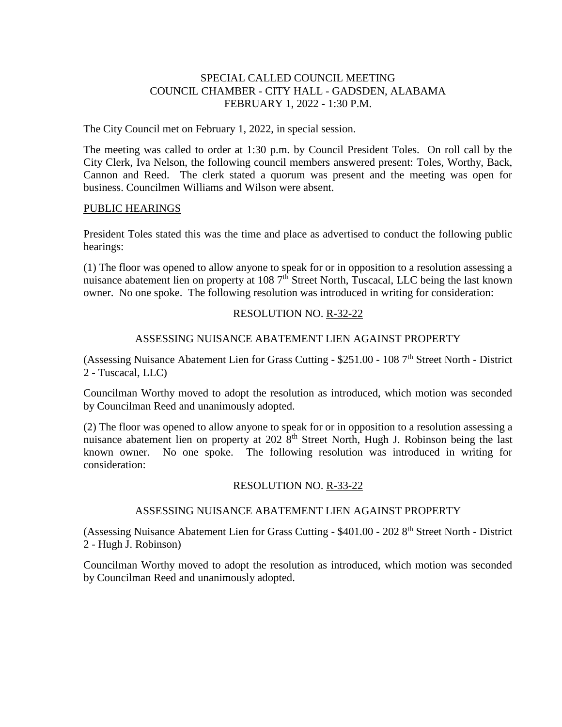## SPECIAL CALLED COUNCIL MEETING COUNCIL CHAMBER - CITY HALL - GADSDEN, ALABAMA FEBRUARY 1, 2022 - 1:30 P.M.

The City Council met on February 1, 2022, in special session.

The meeting was called to order at 1:30 p.m. by Council President Toles. On roll call by the City Clerk, Iva Nelson, the following council members answered present: Toles, Worthy, Back, Cannon and Reed. The clerk stated a quorum was present and the meeting was open for business. Councilmen Williams and Wilson were absent.

### PUBLIC HEARINGS

President Toles stated this was the time and place as advertised to conduct the following public hearings:

(1) The floor was opened to allow anyone to speak for or in opposition to a resolution assessing a nuisance abatement lien on property at 108  $7<sup>th</sup>$  Street North, Tuscacal, LLC being the last known owner. No one spoke. The following resolution was introduced in writing for consideration:

## RESOLUTION NO. R-32-22

## ASSESSING NUISANCE ABATEMENT LIEN AGAINST PROPERTY

(Assessing Nuisance Abatement Lien for Grass Cutting - \$251.00 - 108 7th Street North - District 2 - Tuscacal, LLC)

Councilman Worthy moved to adopt the resolution as introduced, which motion was seconded by Councilman Reed and unanimously adopted.

(2) The floor was opened to allow anyone to speak for or in opposition to a resolution assessing a nuisance abatement lien on property at  $2028<sup>th</sup>$  Street North, Hugh J. Robinson being the last known owner. No one spoke. The following resolution was introduced in writing for consideration:

## RESOLUTION NO. R-33-22

## ASSESSING NUISANCE ABATEMENT LIEN AGAINST PROPERTY

(Assessing Nuisance Abatement Lien for Grass Cutting - \$401.00 - 202 8th Street North - District 2 - Hugh J. Robinson)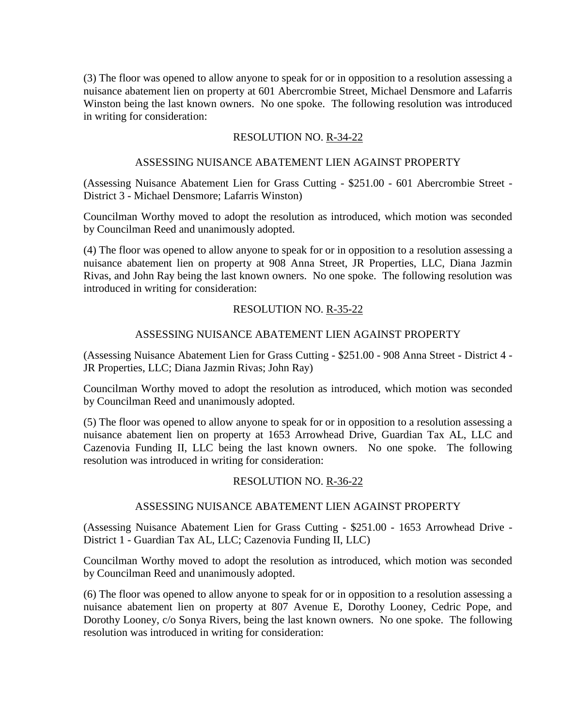(3) The floor was opened to allow anyone to speak for or in opposition to a resolution assessing a nuisance abatement lien on property at 601 Abercrombie Street, Michael Densmore and Lafarris Winston being the last known owners. No one spoke. The following resolution was introduced in writing for consideration:

## RESOLUTION NO. R-34-22

### ASSESSING NUISANCE ABATEMENT LIEN AGAINST PROPERTY

(Assessing Nuisance Abatement Lien for Grass Cutting - \$251.00 - 601 Abercrombie Street - District 3 - Michael Densmore; Lafarris Winston)

Councilman Worthy moved to adopt the resolution as introduced, which motion was seconded by Councilman Reed and unanimously adopted.

(4) The floor was opened to allow anyone to speak for or in opposition to a resolution assessing a nuisance abatement lien on property at 908 Anna Street, JR Properties, LLC, Diana Jazmin Rivas, and John Ray being the last known owners. No one spoke. The following resolution was introduced in writing for consideration:

## RESOLUTION NO. R-35-22

## ASSESSING NUISANCE ABATEMENT LIEN AGAINST PROPERTY

(Assessing Nuisance Abatement Lien for Grass Cutting - \$251.00 - 908 Anna Street - District 4 - JR Properties, LLC; Diana Jazmin Rivas; John Ray)

Councilman Worthy moved to adopt the resolution as introduced, which motion was seconded by Councilman Reed and unanimously adopted.

(5) The floor was opened to allow anyone to speak for or in opposition to a resolution assessing a nuisance abatement lien on property at 1653 Arrowhead Drive, Guardian Tax AL, LLC and Cazenovia Funding II, LLC being the last known owners. No one spoke. The following resolution was introduced in writing for consideration:

#### RESOLUTION NO. R-36-22

#### ASSESSING NUISANCE ABATEMENT LIEN AGAINST PROPERTY

(Assessing Nuisance Abatement Lien for Grass Cutting - \$251.00 - 1653 Arrowhead Drive - District 1 - Guardian Tax AL, LLC; Cazenovia Funding II, LLC)

Councilman Worthy moved to adopt the resolution as introduced, which motion was seconded by Councilman Reed and unanimously adopted.

(6) The floor was opened to allow anyone to speak for or in opposition to a resolution assessing a nuisance abatement lien on property at 807 Avenue E, Dorothy Looney, Cedric Pope, and Dorothy Looney, c/o Sonya Rivers, being the last known owners. No one spoke. The following resolution was introduced in writing for consideration: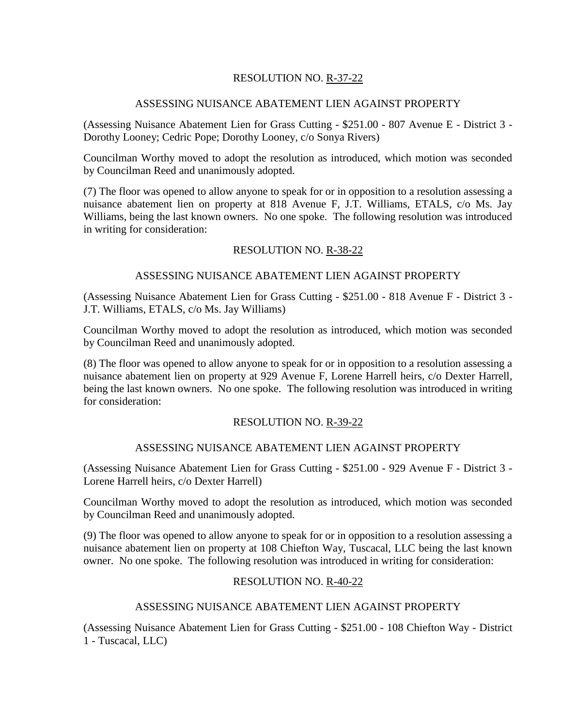# RESOLUTION NO. R-37-22

## ASSESSING NUISANCE ABATEMENT LIEN AGAINST PROPERTY

(Assessing Nuisance Abatement Lien for Grass Cutting - \$251.00 - 807 Avenue E - District 3 - Dorothy Looney; Cedric Pope; Dorothy Looney, c/o Sonya Rivers)

Councilman Worthy moved to adopt the resolution as introduced, which motion was seconded by Councilman Reed and unanimously adopted.

(7) The floor was opened to allow anyone to speak for or in opposition to a resolution assessing a nuisance abatement lien on property at 818 Avenue F, J.T. Williams, ETALS, c/o Ms. Jay Williams, being the last known owners. No one spoke. The following resolution was introduced in writing for consideration:

## RESOLUTION NO. R-38-22

## ASSESSING NUISANCE ABATEMENT LIEN AGAINST PROPERTY

(Assessing Nuisance Abatement Lien for Grass Cutting - \$251.00 - 818 Avenue F - District 3 - J.T. Williams, ETALS, c/o Ms. Jay Williams)

Councilman Worthy moved to adopt the resolution as introduced, which motion was seconded by Councilman Reed and unanimously adopted.

(8) The floor was opened to allow anyone to speak for or in opposition to a resolution assessing a nuisance abatement lien on property at 929 Avenue F, Lorene Harrell heirs, c/o Dexter Harrell, being the last known owners. No one spoke. The following resolution was introduced in writing for consideration:

## RESOLUTION NO. R-39-22

## ASSESSING NUISANCE ABATEMENT LIEN AGAINST PROPERTY

(Assessing Nuisance Abatement Lien for Grass Cutting - \$251.00 - 929 Avenue F - District 3 - Lorene Harrell heirs, c/o Dexter Harrell)

Councilman Worthy moved to adopt the resolution as introduced, which motion was seconded by Councilman Reed and unanimously adopted.

(9) The floor was opened to allow anyone to speak for or in opposition to a resolution assessing a nuisance abatement lien on property at 108 Chiefton Way, Tuscacal, LLC being the last known owner. No one spoke. The following resolution was introduced in writing for consideration:

## RESOLUTION NO. R-40-22

## ASSESSING NUISANCE ABATEMENT LIEN AGAINST PROPERTY

(Assessing Nuisance Abatement Lien for Grass Cutting - \$251.00 - 108 Chiefton Way - District 1 - Tuscacal, LLC)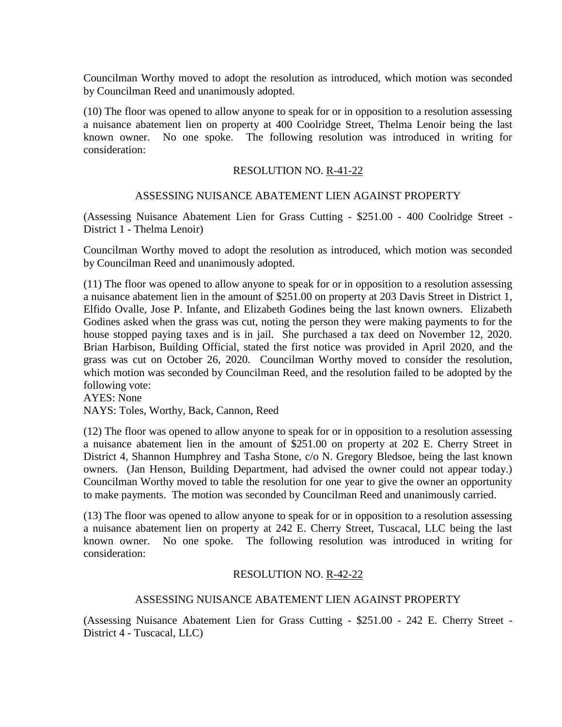(10) The floor was opened to allow anyone to speak for or in opposition to a resolution assessing a nuisance abatement lien on property at 400 Coolridge Street, Thelma Lenoir being the last known owner. No one spoke. The following resolution was introduced in writing for consideration:

## RESOLUTION NO. R-41-22

### ASSESSING NUISANCE ABATEMENT LIEN AGAINST PROPERTY

(Assessing Nuisance Abatement Lien for Grass Cutting - \$251.00 - 400 Coolridge Street - District 1 - Thelma Lenoir)

Councilman Worthy moved to adopt the resolution as introduced, which motion was seconded by Councilman Reed and unanimously adopted.

(11) The floor was opened to allow anyone to speak for or in opposition to a resolution assessing a nuisance abatement lien in the amount of \$251.00 on property at 203 Davis Street in District 1, Elfido Ovalle, Jose P. Infante, and Elizabeth Godines being the last known owners. Elizabeth Godines asked when the grass was cut, noting the person they were making payments to for the house stopped paying taxes and is in jail. She purchased a tax deed on November 12, 2020. Brian Harbison, Building Official, stated the first notice was provided in April 2020, and the grass was cut on October 26, 2020. Councilman Worthy moved to consider the resolution, which motion was seconded by Councilman Reed, and the resolution failed to be adopted by the following vote:

AYES: None

NAYS: Toles, Worthy, Back, Cannon, Reed

(12) The floor was opened to allow anyone to speak for or in opposition to a resolution assessing a nuisance abatement lien in the amount of \$251.00 on property at 202 E. Cherry Street in District 4, Shannon Humphrey and Tasha Stone, c/o N. Gregory Bledsoe, being the last known owners. (Jan Henson, Building Department, had advised the owner could not appear today.) Councilman Worthy moved to table the resolution for one year to give the owner an opportunity to make payments. The motion was seconded by Councilman Reed and unanimously carried.

(13) The floor was opened to allow anyone to speak for or in opposition to a resolution assessing a nuisance abatement lien on property at 242 E. Cherry Street, Tuscacal, LLC being the last known owner. No one spoke. The following resolution was introduced in writing for consideration:

## RESOLUTION NO. R-42-22

## ASSESSING NUISANCE ABATEMENT LIEN AGAINST PROPERTY

(Assessing Nuisance Abatement Lien for Grass Cutting - \$251.00 - 242 E. Cherry Street - District 4 - Tuscacal, LLC)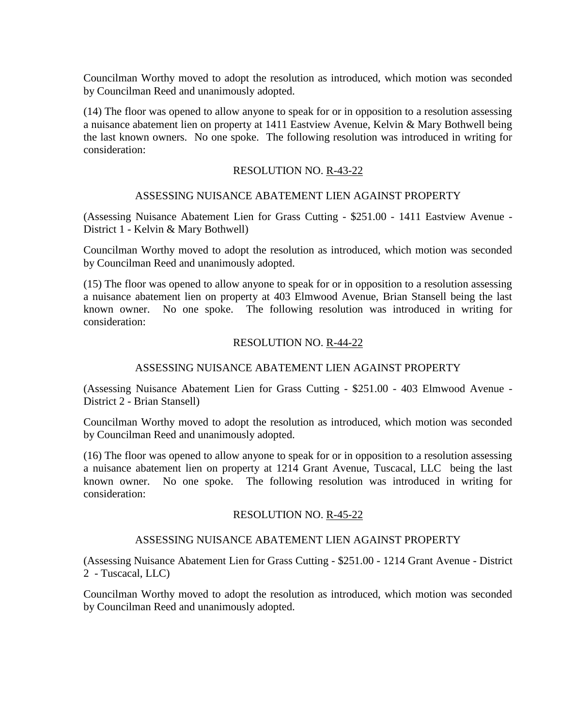(14) The floor was opened to allow anyone to speak for or in opposition to a resolution assessing a nuisance abatement lien on property at 1411 Eastview Avenue, Kelvin & Mary Bothwell being the last known owners. No one spoke. The following resolution was introduced in writing for consideration:

### RESOLUTION NO. R-43-22

#### ASSESSING NUISANCE ABATEMENT LIEN AGAINST PROPERTY

(Assessing Nuisance Abatement Lien for Grass Cutting - \$251.00 - 1411 Eastview Avenue - District 1 - Kelvin & Mary Bothwell)

Councilman Worthy moved to adopt the resolution as introduced, which motion was seconded by Councilman Reed and unanimously adopted.

(15) The floor was opened to allow anyone to speak for or in opposition to a resolution assessing a nuisance abatement lien on property at 403 Elmwood Avenue, Brian Stansell being the last known owner. No one spoke. The following resolution was introduced in writing for consideration:

## RESOLUTION NO. R-44-22

## ASSESSING NUISANCE ABATEMENT LIEN AGAINST PROPERTY

(Assessing Nuisance Abatement Lien for Grass Cutting - \$251.00 - 403 Elmwood Avenue - District 2 - Brian Stansell)

Councilman Worthy moved to adopt the resolution as introduced, which motion was seconded by Councilman Reed and unanimously adopted.

(16) The floor was opened to allow anyone to speak for or in opposition to a resolution assessing a nuisance abatement lien on property at 1214 Grant Avenue, Tuscacal, LLC being the last known owner. No one spoke. The following resolution was introduced in writing for consideration:

#### RESOLUTION NO. R-45-22

## ASSESSING NUISANCE ABATEMENT LIEN AGAINST PROPERTY

(Assessing Nuisance Abatement Lien for Grass Cutting - \$251.00 - 1214 Grant Avenue - District 2 - Tuscacal, LLC)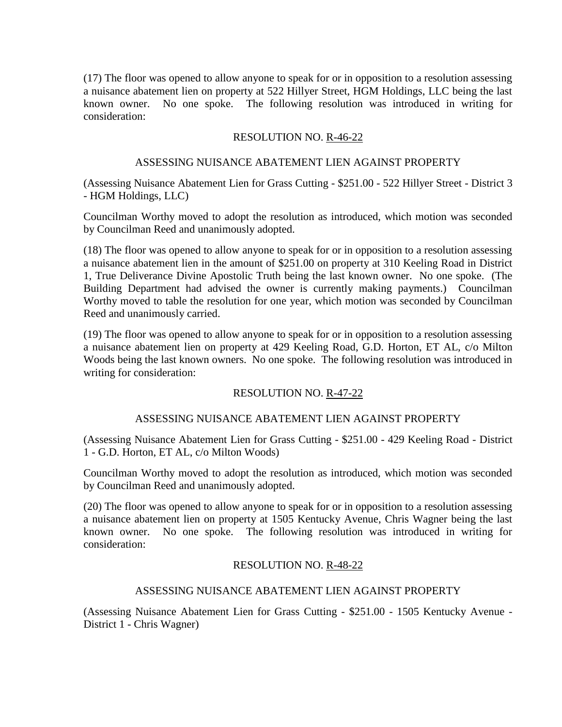(17) The floor was opened to allow anyone to speak for or in opposition to a resolution assessing a nuisance abatement lien on property at 522 Hillyer Street, HGM Holdings, LLC being the last known owner. No one spoke. The following resolution was introduced in writing for consideration:

## RESOLUTION NO. R-46-22

## ASSESSING NUISANCE ABATEMENT LIEN AGAINST PROPERTY

(Assessing Nuisance Abatement Lien for Grass Cutting - \$251.00 - 522 Hillyer Street - District 3 - HGM Holdings, LLC)

Councilman Worthy moved to adopt the resolution as introduced, which motion was seconded by Councilman Reed and unanimously adopted.

(18) The floor was opened to allow anyone to speak for or in opposition to a resolution assessing a nuisance abatement lien in the amount of \$251.00 on property at 310 Keeling Road in District 1, True Deliverance Divine Apostolic Truth being the last known owner. No one spoke. (The Building Department had advised the owner is currently making payments.) Councilman Worthy moved to table the resolution for one year, which motion was seconded by Councilman Reed and unanimously carried.

(19) The floor was opened to allow anyone to speak for or in opposition to a resolution assessing a nuisance abatement lien on property at 429 Keeling Road, G.D. Horton, ET AL, c/o Milton Woods being the last known owners. No one spoke. The following resolution was introduced in writing for consideration:

# RESOLUTION NO. R-47-22

## ASSESSING NUISANCE ABATEMENT LIEN AGAINST PROPERTY

(Assessing Nuisance Abatement Lien for Grass Cutting - \$251.00 - 429 Keeling Road - District 1 - G.D. Horton, ET AL, c/o Milton Woods)

Councilman Worthy moved to adopt the resolution as introduced, which motion was seconded by Councilman Reed and unanimously adopted.

(20) The floor was opened to allow anyone to speak for or in opposition to a resolution assessing a nuisance abatement lien on property at 1505 Kentucky Avenue, Chris Wagner being the last known owner. No one spoke. The following resolution was introduced in writing for consideration:

## RESOLUTION NO. R-48-22

## ASSESSING NUISANCE ABATEMENT LIEN AGAINST PROPERTY

(Assessing Nuisance Abatement Lien for Grass Cutting - \$251.00 - 1505 Kentucky Avenue - District 1 - Chris Wagner)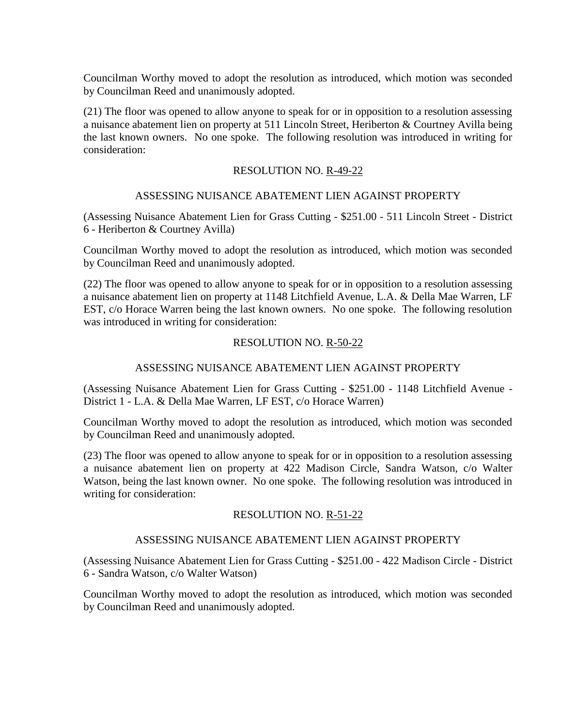(21) The floor was opened to allow anyone to speak for or in opposition to a resolution assessing a nuisance abatement lien on property at 511 Lincoln Street, Heriberton & Courtney Avilla being the last known owners. No one spoke. The following resolution was introduced in writing for consideration:

## RESOLUTION NO. R-49-22

### ASSESSING NUISANCE ABATEMENT LIEN AGAINST PROPERTY

(Assessing Nuisance Abatement Lien for Grass Cutting - \$251.00 - 511 Lincoln Street - District 6 - Heriberton & Courtney Avilla)

Councilman Worthy moved to adopt the resolution as introduced, which motion was seconded by Councilman Reed and unanimously adopted.

(22) The floor was opened to allow anyone to speak for or in opposition to a resolution assessing a nuisance abatement lien on property at 1148 Litchfield Avenue, L.A. & Della Mae Warren, LF EST, c/o Horace Warren being the last known owners. No one spoke. The following resolution was introduced in writing for consideration:

## RESOLUTION NO. R-50-22

## ASSESSING NUISANCE ABATEMENT LIEN AGAINST PROPERTY

(Assessing Nuisance Abatement Lien for Grass Cutting - \$251.00 - 1148 Litchfield Avenue - District 1 - L.A. & Della Mae Warren, LF EST, c/o Horace Warren)

Councilman Worthy moved to adopt the resolution as introduced, which motion was seconded by Councilman Reed and unanimously adopted.

(23) The floor was opened to allow anyone to speak for or in opposition to a resolution assessing a nuisance abatement lien on property at 422 Madison Circle, Sandra Watson, c/o Walter Watson, being the last known owner. No one spoke. The following resolution was introduced in writing for consideration:

## RESOLUTION NO. R-51-22

## ASSESSING NUISANCE ABATEMENT LIEN AGAINST PROPERTY

(Assessing Nuisance Abatement Lien for Grass Cutting - \$251.00 - 422 Madison Circle - District 6 - Sandra Watson, c/o Walter Watson)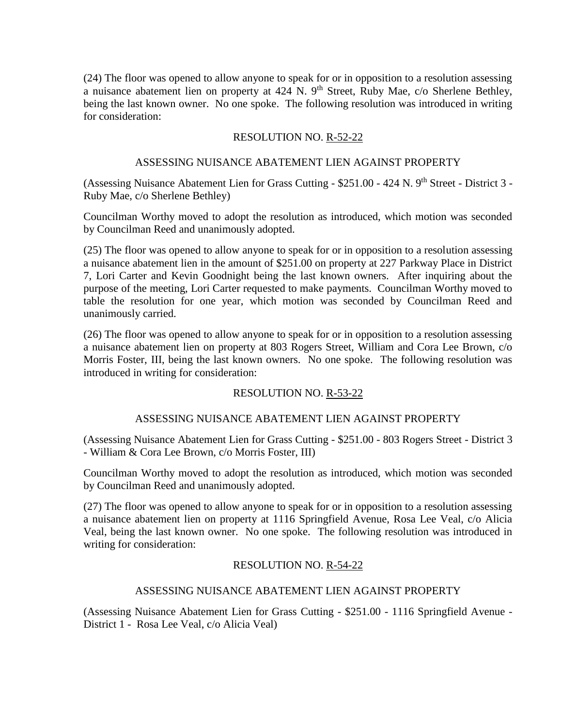(24) The floor was opened to allow anyone to speak for or in opposition to a resolution assessing a nuisance abatement lien on property at  $424$  N.  $9<sup>th</sup>$  Street, Ruby Mae, c/o Sherlene Bethley, being the last known owner. No one spoke. The following resolution was introduced in writing for consideration:

# RESOLUTION NO. R-52-22

## ASSESSING NUISANCE ABATEMENT LIEN AGAINST PROPERTY

(Assessing Nuisance Abatement Lien for Grass Cutting - \$251.00 - 424 N. 9<sup>th</sup> Street - District 3 -Ruby Mae, c/o Sherlene Bethley)

Councilman Worthy moved to adopt the resolution as introduced, which motion was seconded by Councilman Reed and unanimously adopted.

(25) The floor was opened to allow anyone to speak for or in opposition to a resolution assessing a nuisance abatement lien in the amount of \$251.00 on property at 227 Parkway Place in District 7, Lori Carter and Kevin Goodnight being the last known owners. After inquiring about the purpose of the meeting, Lori Carter requested to make payments. Councilman Worthy moved to table the resolution for one year, which motion was seconded by Councilman Reed and unanimously carried.

(26) The floor was opened to allow anyone to speak for or in opposition to a resolution assessing a nuisance abatement lien on property at 803 Rogers Street, William and Cora Lee Brown, c/o Morris Foster, III, being the last known owners. No one spoke. The following resolution was introduced in writing for consideration:

# RESOLUTION NO. R-53-22

## ASSESSING NUISANCE ABATEMENT LIEN AGAINST PROPERTY

(Assessing Nuisance Abatement Lien for Grass Cutting - \$251.00 - 803 Rogers Street - District 3 - William & Cora Lee Brown, c/o Morris Foster, III)

Councilman Worthy moved to adopt the resolution as introduced, which motion was seconded by Councilman Reed and unanimously adopted.

(27) The floor was opened to allow anyone to speak for or in opposition to a resolution assessing a nuisance abatement lien on property at 1116 Springfield Avenue, Rosa Lee Veal, c/o Alicia Veal, being the last known owner. No one spoke. The following resolution was introduced in writing for consideration:

# RESOLUTION NO. R-54-22

## ASSESSING NUISANCE ABATEMENT LIEN AGAINST PROPERTY

(Assessing Nuisance Abatement Lien for Grass Cutting - \$251.00 - 1116 Springfield Avenue - District 1 - Rosa Lee Veal, c/o Alicia Veal)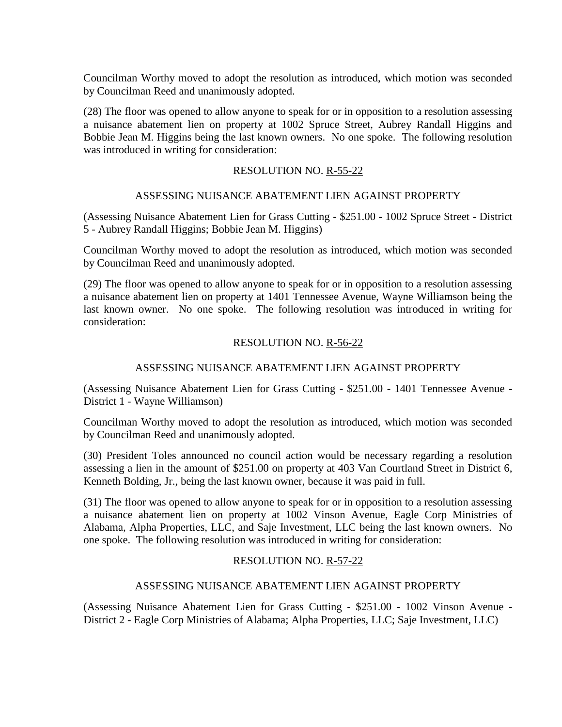(28) The floor was opened to allow anyone to speak for or in opposition to a resolution assessing a nuisance abatement lien on property at 1002 Spruce Street, Aubrey Randall Higgins and Bobbie Jean M. Higgins being the last known owners. No one spoke. The following resolution was introduced in writing for consideration:

### RESOLUTION NO. R-55-22

### ASSESSING NUISANCE ABATEMENT LIEN AGAINST PROPERTY

(Assessing Nuisance Abatement Lien for Grass Cutting - \$251.00 - 1002 Spruce Street - District 5 - Aubrey Randall Higgins; Bobbie Jean M. Higgins)

Councilman Worthy moved to adopt the resolution as introduced, which motion was seconded by Councilman Reed and unanimously adopted.

(29) The floor was opened to allow anyone to speak for or in opposition to a resolution assessing a nuisance abatement lien on property at 1401 Tennessee Avenue, Wayne Williamson being the last known owner. No one spoke. The following resolution was introduced in writing for consideration:

## RESOLUTION NO. R-56-22

## ASSESSING NUISANCE ABATEMENT LIEN AGAINST PROPERTY

(Assessing Nuisance Abatement Lien for Grass Cutting - \$251.00 - 1401 Tennessee Avenue - District 1 - Wayne Williamson)

Councilman Worthy moved to adopt the resolution as introduced, which motion was seconded by Councilman Reed and unanimously adopted.

(30) President Toles announced no council action would be necessary regarding a resolution assessing a lien in the amount of \$251.00 on property at 403 Van Courtland Street in District 6, Kenneth Bolding, Jr., being the last known owner, because it was paid in full.

(31) The floor was opened to allow anyone to speak for or in opposition to a resolution assessing a nuisance abatement lien on property at 1002 Vinson Avenue, Eagle Corp Ministries of Alabama, Alpha Properties, LLC, and Saje Investment, LLC being the last known owners. No one spoke. The following resolution was introduced in writing for consideration:

## RESOLUTION NO. R-57-22

#### ASSESSING NUISANCE ABATEMENT LIEN AGAINST PROPERTY

(Assessing Nuisance Abatement Lien for Grass Cutting - \$251.00 - 1002 Vinson Avenue - District 2 - Eagle Corp Ministries of Alabama; Alpha Properties, LLC; Saje Investment, LLC)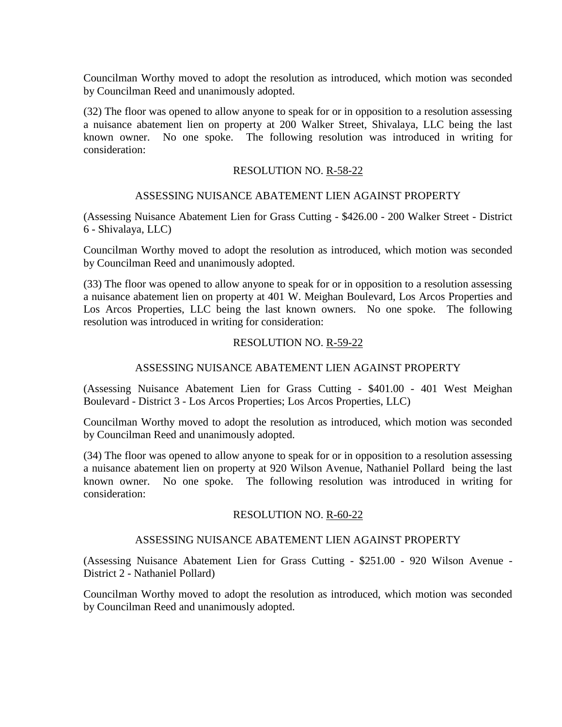(32) The floor was opened to allow anyone to speak for or in opposition to a resolution assessing a nuisance abatement lien on property at 200 Walker Street, Shivalaya, LLC being the last known owner. No one spoke. The following resolution was introduced in writing for consideration:

### RESOLUTION NO. R-58-22

### ASSESSING NUISANCE ABATEMENT LIEN AGAINST PROPERTY

(Assessing Nuisance Abatement Lien for Grass Cutting - \$426.00 - 200 Walker Street - District 6 - Shivalaya, LLC)

Councilman Worthy moved to adopt the resolution as introduced, which motion was seconded by Councilman Reed and unanimously adopted.

(33) The floor was opened to allow anyone to speak for or in opposition to a resolution assessing a nuisance abatement lien on property at 401 W. Meighan Boulevard, Los Arcos Properties and Los Arcos Properties, LLC being the last known owners. No one spoke. The following resolution was introduced in writing for consideration:

### RESOLUTION NO. R-59-22

## ASSESSING NUISANCE ABATEMENT LIEN AGAINST PROPERTY

(Assessing Nuisance Abatement Lien for Grass Cutting - \$401.00 - 401 West Meighan Boulevard - District 3 - Los Arcos Properties; Los Arcos Properties, LLC)

Councilman Worthy moved to adopt the resolution as introduced, which motion was seconded by Councilman Reed and unanimously adopted.

(34) The floor was opened to allow anyone to speak for or in opposition to a resolution assessing a nuisance abatement lien on property at 920 Wilson Avenue, Nathaniel Pollard being the last known owner. No one spoke. The following resolution was introduced in writing for consideration:

#### RESOLUTION NO. R-60-22

## ASSESSING NUISANCE ABATEMENT LIEN AGAINST PROPERTY

(Assessing Nuisance Abatement Lien for Grass Cutting - \$251.00 - 920 Wilson Avenue - District 2 - Nathaniel Pollard)